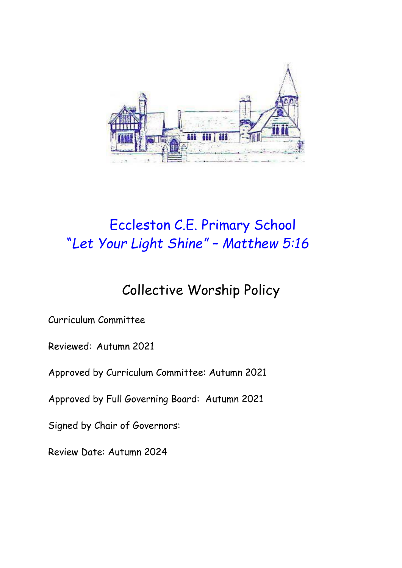

# Eccleston C.E. Primary School "*Let Your Light Shine" – Matthew 5:16*

# Collective Worship Policy

Curriculum Committee

Reviewed: Autumn 2021

Approved by Curriculum Committee: Autumn 2021

Approved by Full Governing Board: Autumn 2021

Signed by Chair of Governors:

Review Date: Autumn 2024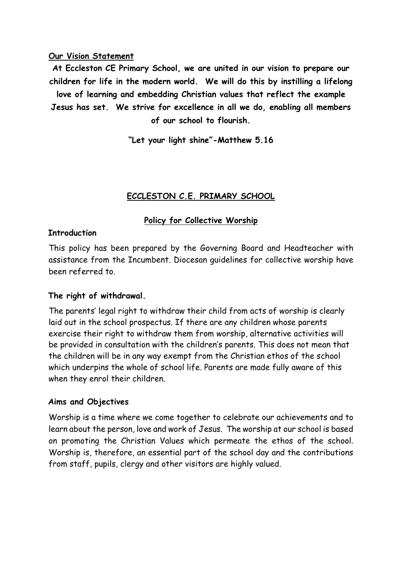#### **Our Vision Statement**

**At Eccleston CE Primary School, we are united in our vision to prepare our children for life in the modern world. We will do this by instilling a lifelong love of learning and embedding Christian values that reflect the example Jesus has set. We strive for excellence in all we do, enabling all members of our school to flourish.**

**"Let your light shine"-Matthew 5.16**

### **ECCLESTON C.E. PRIMARY SCHOOL**

### **Policy for Collective Worship**

#### **Introduction**

This policy has been prepared by the Governing Board and Headteacher with assistance from the Incumbent. Diocesan guidelines for collective worship have been referred to.

#### **The right of withdrawal.**

The parents' legal right to withdraw their child from acts of worship is clearly laid out in the school prospectus. If there are any children whose parents exercise their right to withdraw them from worship, alternative activities will be provided in consultation with the children's parents. This does not mean that the children will be in any way exempt from the Christian ethos of the school which underpins the whole of school life. Parents are made fully aware of this when they enrol their children.

#### **Aims and Objectives**

Worship is a time where we come together to celebrate our achievements and to learn about the person, love and work of Jesus. The worship at our school is based on promoting the Christian Values which permeate the ethos of the school. Worship is, therefore, an essential part of the school day and the contributions from staff, pupils, clergy and other visitors are highly valued.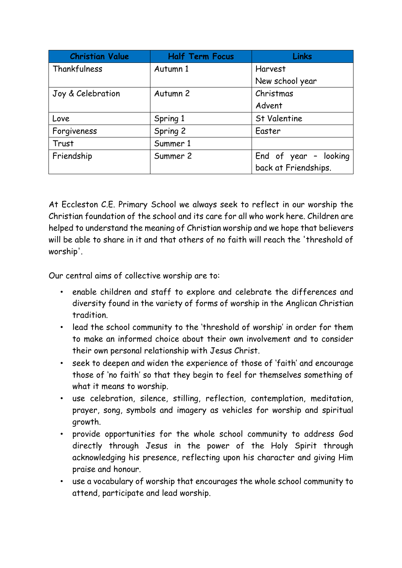| <b>Christian Value</b> | <b>Half Term Focus</b> | <b>Links</b>          |
|------------------------|------------------------|-----------------------|
| Thankfulness           | Autumn 1               | <b>Harvest</b>        |
|                        |                        | New school year       |
| Joy & Celebration      | Autumn 2               | Christmas             |
|                        |                        | Advent                |
| Love                   | Spring 1               | <b>St Valentine</b>   |
| Forgiveness            | Spring 2               | Easter                |
| Trust                  | Summer 1               |                       |
| Friendship             | Summer 2               | End of year - looking |
|                        |                        | back at Friendships.  |

At Eccleston C.E. Primary School we always seek to reflect in our worship the Christian foundation of the school and its care for all who work here. Children are helped to understand the meaning of Christian worship and we hope that believers will be able to share in it and that others of no faith will reach the 'threshold of worship'.

Our central aims of collective worship are to:

- enable children and staff to explore and celebrate the differences and diversity found in the variety of forms of worship in the Anglican Christian tradition.
- lead the school community to the 'threshold of worship' in order for them to make an informed choice about their own involvement and to consider their own personal relationship with Jesus Christ.
- seek to deepen and widen the experience of those of 'faith' and encourage those of 'no faith' so that they begin to feel for themselves something of what it means to worship.
- use celebration, silence, stilling, reflection, contemplation, meditation, prayer, song, symbols and imagery as vehicles for worship and spiritual growth.
- provide opportunities for the whole school community to address God directly through Jesus in the power of the Holy Spirit through acknowledging his presence, reflecting upon his character and giving Him praise and honour.
- use a vocabulary of worship that encourages the whole school community to attend, participate and lead worship.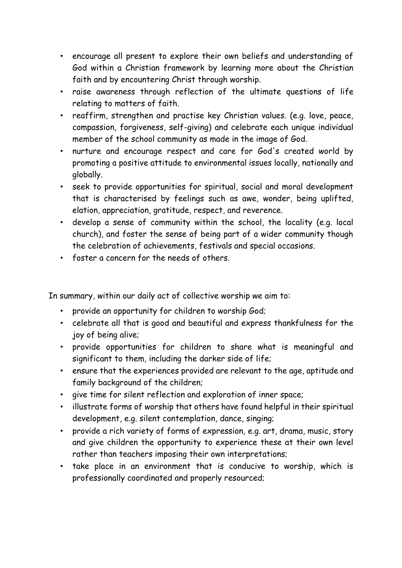- encourage all present to explore their own beliefs and understanding of God within a Christian framework by learning more about the Christian faith and by encountering Christ through worship.
- raise awareness through reflection of the ultimate questions of life relating to matters of faith.
- reaffirm, strengthen and practise key Christian values. (e.g. love, peace, compassion, forgiveness, self-giving) and celebrate each unique individual member of the school community as made in the image of God.
- nurture and encourage respect and care for God's created world by promoting a positive attitude to environmental issues locally, nationally and globally.
- seek to provide opportunities for spiritual, social and moral development that is characterised by feelings such as awe, wonder, being uplifted, elation, appreciation, gratitude, respect, and reverence.
- develop a sense of community within the school, the locality (e.g. local church), and foster the sense of being part of a wider community though the celebration of achievements, festivals and special occasions.
- foster a concern for the needs of others.

In summary, within our daily act of collective worship we aim to:

- provide an opportunity for children to worship God;
- celebrate all that is good and beautiful and express thankfulness for the joy of being alive;
- provide opportunities for children to share what is meaningful and significant to them, including the darker side of life;
- ensure that the experiences provided are relevant to the age, aptitude and family background of the children;
- give time for silent reflection and exploration of inner space;
- illustrate forms of worship that others have found helpful in their spiritual development, e.g. silent contemplation, dance, singing;
- provide a rich variety of forms of expression, e.g. art, drama, music, story and give children the opportunity to experience these at their own level rather than teachers imposing their own interpretations;
- take place in an environment that is conducive to worship, which is professionally coordinated and properly resourced;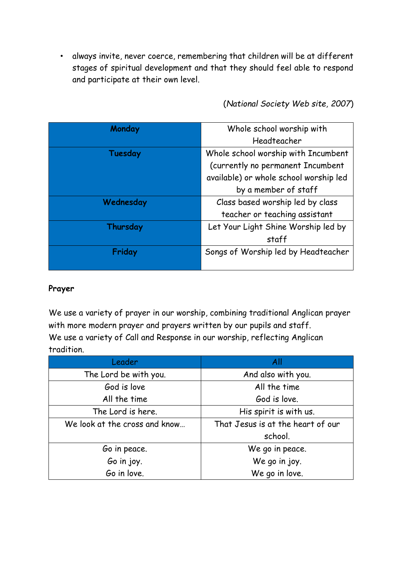• always invite, never coerce, remembering that children will be at different stages of spiritual development and that they should feel able to respond and participate at their own level.

(*National Society Web site, 2007*)

| Monday    | Whole school worship with              |
|-----------|----------------------------------------|
|           | Headteacher                            |
| Tuesday   | Whole school worship with Incumbent    |
|           | (currently no permanent Incumbent      |
|           | available) or whole school worship led |
|           | by a member of staff                   |
| Wednesday | Class based worship led by class       |
|           | teacher or teaching assistant          |
| Thursday  | Let Your Light Shine Worship led by    |
|           | staff                                  |
| Friday    | Songs of Worship led by Headteacher    |
|           |                                        |

# **Prayer**

We use a variety of prayer in our worship, combining traditional Anglican prayer with more modern prayer and prayers written by our pupils and staff. We use a variety of Call and Response in our worship, reflecting Anglican tradition.

| Leader                        | All                               |
|-------------------------------|-----------------------------------|
| The Lord be with you.         | And also with you.                |
| God is love                   | All the time                      |
| All the time                  | God is love.                      |
| The Lord is here.             | His spirit is with us.            |
| We look at the cross and know | That Jesus is at the heart of our |
|                               | school.                           |
| Go in peace.                  | We go in peace.                   |
| Go in joy.                    | We go in joy.                     |
| Go in love.                   | We go in love.                    |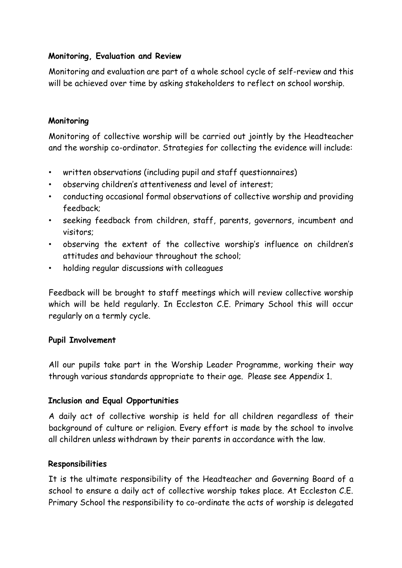# **Monitoring, Evaluation and Review**

Monitoring and evaluation are part of a whole school cycle of self-review and this will be achieved over time by asking stakeholders to reflect on school worship.

# **Monitoring**

Monitoring of collective worship will be carried out jointly by the Headteacher and the worship co-ordinator. Strategies for collecting the evidence will include:

- written observations (including pupil and staff questionnaires)
- observing children's attentiveness and level of interest;
- conducting occasional formal observations of collective worship and providing feedback;
- seeking feedback from children, staff, parents, governors, incumbent and visitors;
- observing the extent of the collective worship's influence on children's attitudes and behaviour throughout the school;
- holding regular discussions with colleagues

Feedback will be brought to staff meetings which will review collective worship which will be held regularly. In Eccleston C.E. Primary School this will occur regularly on a termly cycle.

# **Pupil Involvement**

All our pupils take part in the Worship Leader Programme, working their way through various standards appropriate to their age. Please see Appendix 1.

# **Inclusion and Equal Opportunities**

A daily act of collective worship is held for all children regardless of their background of culture or religion. Every effort is made by the school to involve all children unless withdrawn by their parents in accordance with the law.

#### **Responsibilities**

It is the ultimate responsibility of the Headteacher and Governing Board of a school to ensure a daily act of collective worship takes place. At Eccleston C.E. Primary School the responsibility to co-ordinate the acts of worship is delegated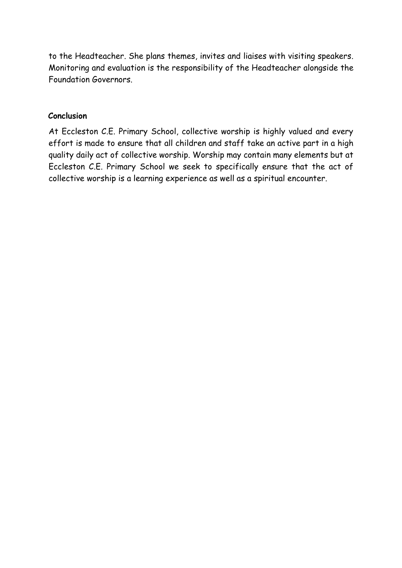to the Headteacher. She plans themes, invites and liaises with visiting speakers. Monitoring and evaluation is the responsibility of the Headteacher alongside the Foundation Governors.

### **Conclusion**

At Eccleston C.E. Primary School, collective worship is highly valued and every effort is made to ensure that all children and staff take an active part in a high quality daily act of collective worship. Worship may contain many elements but at Eccleston C.E. Primary School we seek to specifically ensure that the act of collective worship is a learning experience as well as a spiritual encounter.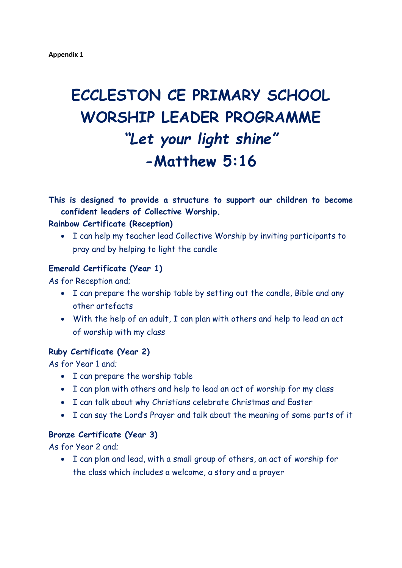# **ECCLESTON CE PRIMARY SCHOOL WORSHIP LEADER PROGRAMME** *"Let your light shine"* **-Matthew 5:16**

**This is designed to provide a structure to support our children to become confident leaders of Collective Worship.**

#### **Rainbow Certificate (Reception)**

 I can help my teacher lead Collective Worship by inviting participants to pray and by helping to light the candle

#### **Emerald Certificate (Year 1)**

As for Reception and;

- I can prepare the worship table by setting out the candle, Bible and any other artefacts
- With the help of an adult, I can plan with others and help to lead an act of worship with my class

#### **Ruby Certificate (Year 2)**

As for Year 1 and;

- I can prepare the worship table
- I can plan with others and help to lead an act of worship for my class
- I can talk about why Christians celebrate Christmas and Easter
- I can say the Lord's Prayer and talk about the meaning of some parts of it

#### **Bronze Certificate (Year 3)**

As for Year 2 and;

 I can plan and lead, with a small group of others, an act of worship for the class which includes a welcome, a story and a prayer